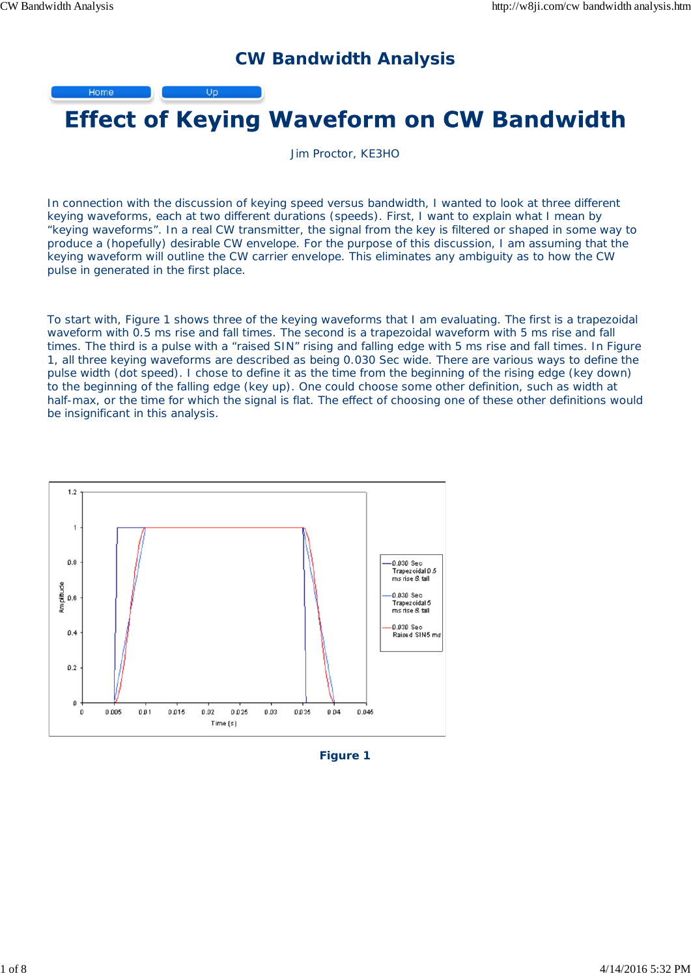## **CW Bandwidth Analysis**

Home Up



Jim Proctor, KE3HO

In connection with the discussion of keying speed versus bandwidth, I wanted to look at three different keying waveforms, each at two different durations (speeds). First, I want to explain what I mean by "keying waveforms". In a real CW transmitter, the signal from the key is filtered or shaped in some way to produce a (hopefully) desirable CW envelope. For the purpose of this discussion, I am assuming that the keying waveform will outline the CW carrier envelope. This eliminates any ambiguity as to how the CW pulse in generated in the first place.

To start with, Figure 1 shows three of the keying waveforms that I am evaluating. The first is a trapezoidal waveform with 0.5 ms rise and fall times. The second is a trapezoidal waveform with 5 ms rise and fall times. The third is a pulse with a "raised SIN" rising and falling edge with 5 ms rise and fall times. In Figure 1, all three keying waveforms are described as being 0.030 Sec wide. There are various ways to define the pulse width (dot speed). I chose to define it as the time from the beginning of the rising edge (key down) to the beginning of the falling edge (key up). One could choose some other definition, such as width at half-max, or the time for which the signal is flat. The effect of choosing one of these other definitions would be insignificant in this analysis.



**Figure 1**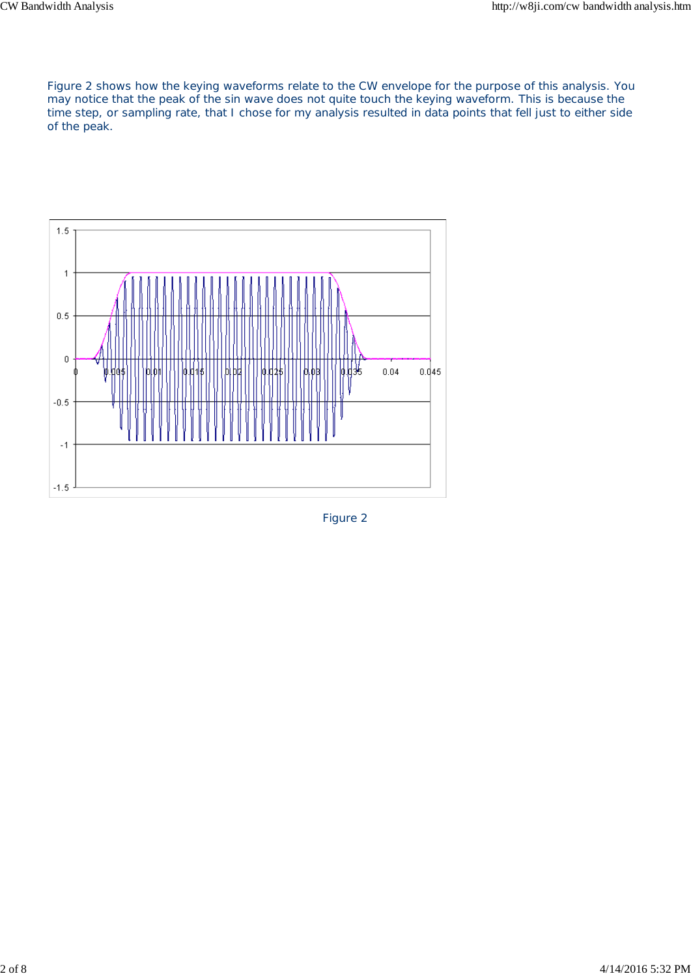Figure 2 shows how the keying waveforms relate to the CW envelope for the purpose of this analysis. You may notice that the peak of the sin wave does not quite touch the keying waveform. This is because the time step, or sampling rate, that I chose for my analysis resulted in data points that fell just to either side of the peak.



Figure 2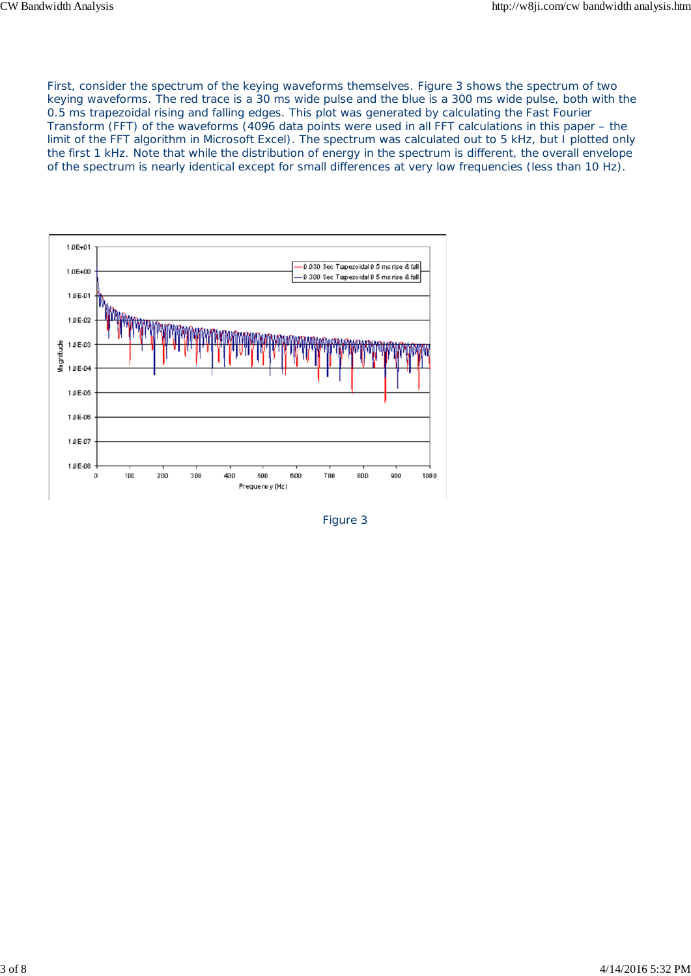First, consider the spectrum of the keying waveforms themselves. Figure 3 shows the spectrum of two keying waveforms. The red trace is a 30 ms wide pulse and the blue is a 300 ms wide pulse, both with the 0.5 ms trapezoidal rising and falling edges. This plot was generated by calculating the Fast Fourier Transform (FFT) of the waveforms (4096 data points were used in all FFT calculations in this paper – the limit of the FFT algorithm in Microsoft Excel). The spectrum was calculated out to 5 kHz, but I plotted only the first 1 kHz. Note that while the distribution of energy in the spectrum is different, the overall envelope of the spectrum is nearly identical except for small differences at very low frequencies (less than 10 Hz).



Figure 3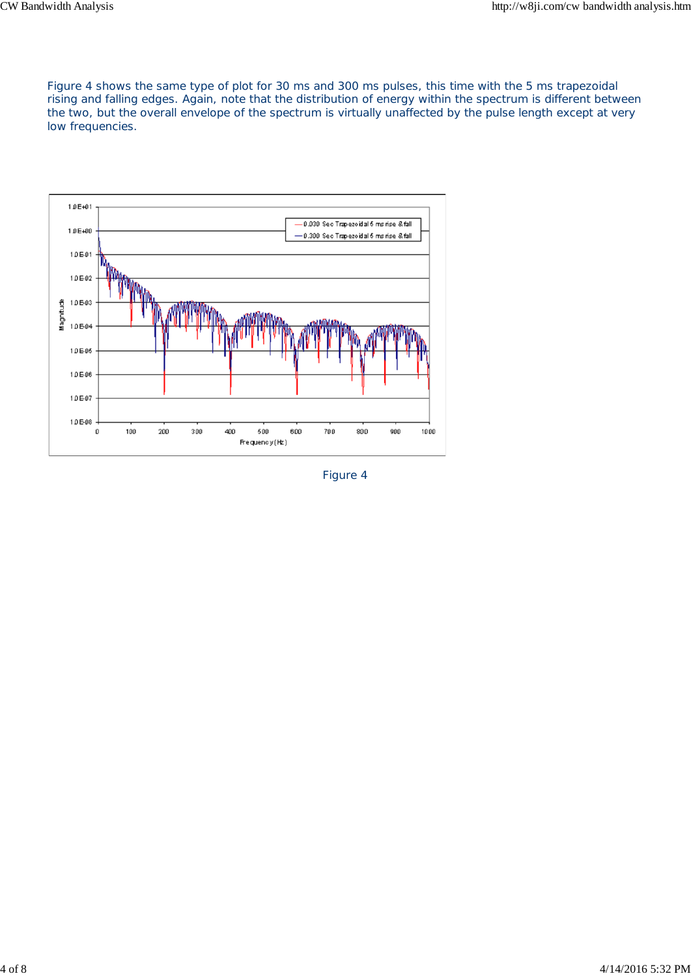Figure 4 shows the same type of plot for 30 ms and 300 ms pulses, this time with the 5 ms trapezoidal rising and falling edges. Again, note that the distribution of energy within the spectrum is different between the two, but the overall envelope of the spectrum is virtually unaffected by the pulse length except at very low frequencies.



Figure 4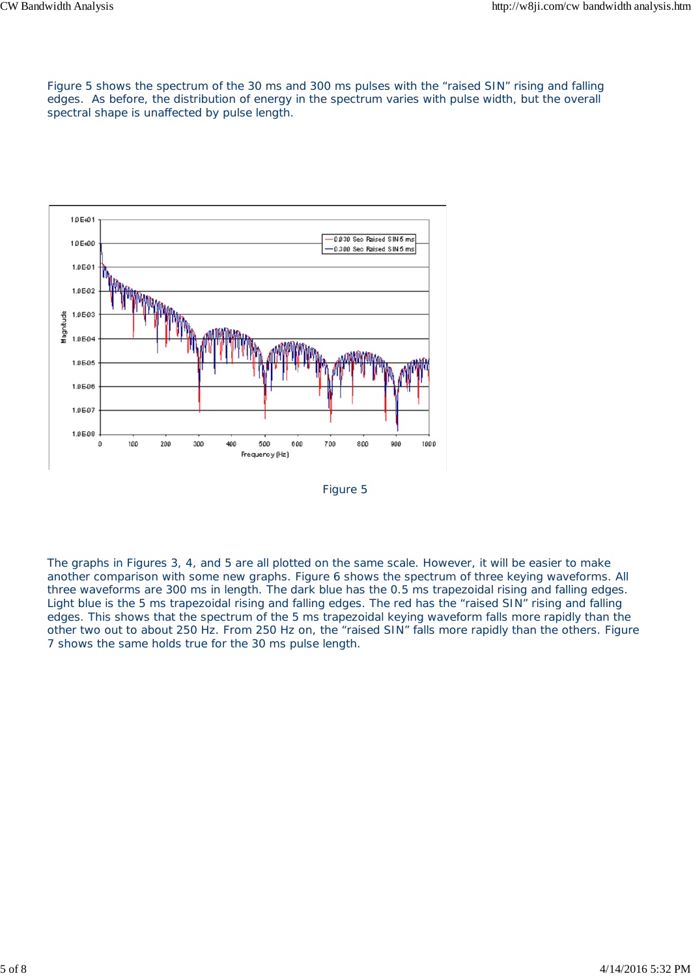Figure 5 shows the spectrum of the 30 ms and 300 ms pulses with the "raised SIN" rising and falling edges. As before, the distribution of energy in the spectrum varies with pulse width, but the overall spectral shape is unaffected by pulse length.



Figure 5

The graphs in Figures 3, 4, and 5 are all plotted on the same scale. However, it will be easier to make another comparison with some new graphs. Figure 6 shows the spectrum of three keying waveforms. All three waveforms are 300 ms in length. The dark blue has the 0.5 ms trapezoidal rising and falling edges. Light blue is the 5 ms trapezoidal rising and falling edges. The red has the "raised SIN" rising and falling edges. This shows that the spectrum of the 5 ms trapezoidal keying waveform falls more rapidly than the other two out to about 250 Hz. From 250 Hz on, the "raised SIN" falls more rapidly than the others. Figure 7 shows the same holds true for the 30 ms pulse length.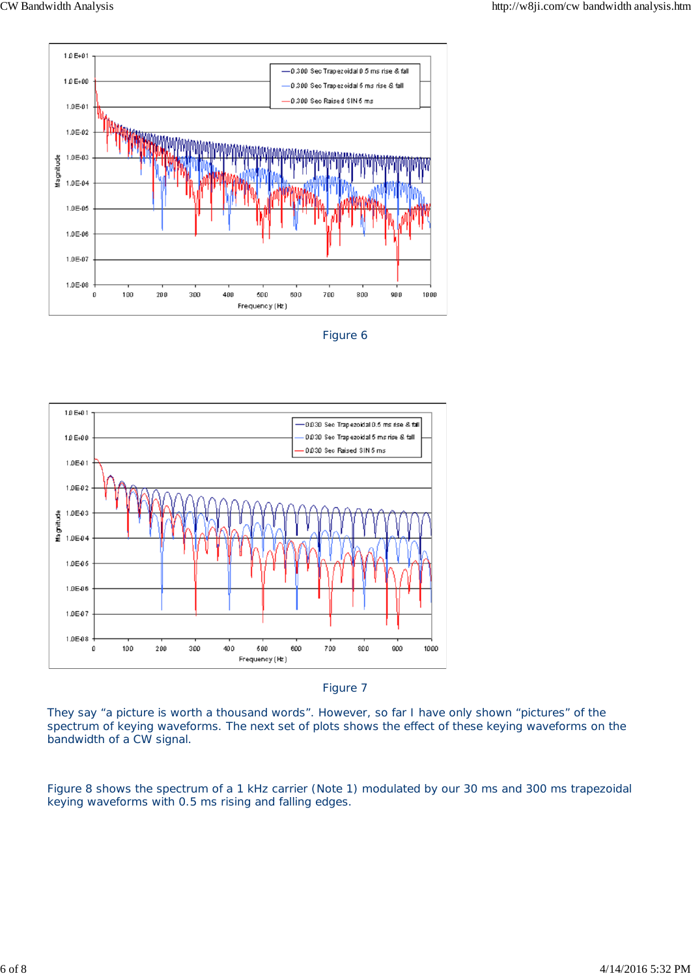

Figure 6



Figure 7

They say "a picture is worth a thousand words". However, so far I have only shown "pictures" of the spectrum of keying waveforms. The next set of plots shows the effect of these keying waveforms on the bandwidth of a CW signal.

Figure 8 shows the spectrum of a 1 kHz carrier (Note 1) modulated by our 30 ms and 300 ms trapezoidal keying waveforms with 0.5 ms rising and falling edges.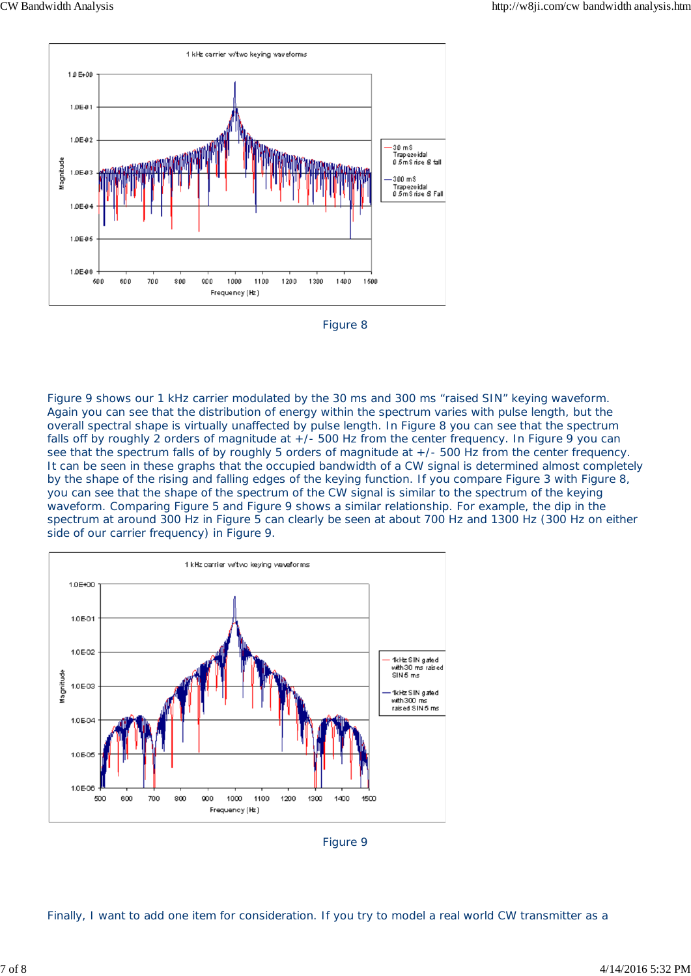



Figure 9 shows our 1 kHz carrier modulated by the 30 ms and 300 ms "raised SIN" keying waveform. Again you can see that the distribution of energy within the spectrum varies with pulse length, but the overall spectral shape is virtually unaffected by pulse length. In Figure 8 you can see that the spectrum falls off by roughly 2 orders of magnitude at  $+/-$  500 Hz from the center frequency. In Figure 9 you can see that the spectrum falls of by roughly 5 orders of magnitude at +/- 500 Hz from the center frequency. It can be seen in these graphs that the occupied bandwidth of a CW signal is determined almost completely by the shape of the rising and falling edges of the keying function. If you compare Figure 3 with Figure 8, you can see that the shape of the spectrum of the CW signal is similar to the spectrum of the keying waveform. Comparing Figure 5 and Figure 9 shows a similar relationship. For example, the dip in the spectrum at around 300 Hz in Figure 5 can clearly be seen at about 700 Hz and 1300 Hz (300 Hz on either side of our carrier frequency) in Figure 9.



Figure 9

Finally, I want to add one item for consideration. If you try to model a real world CW transmitter as a